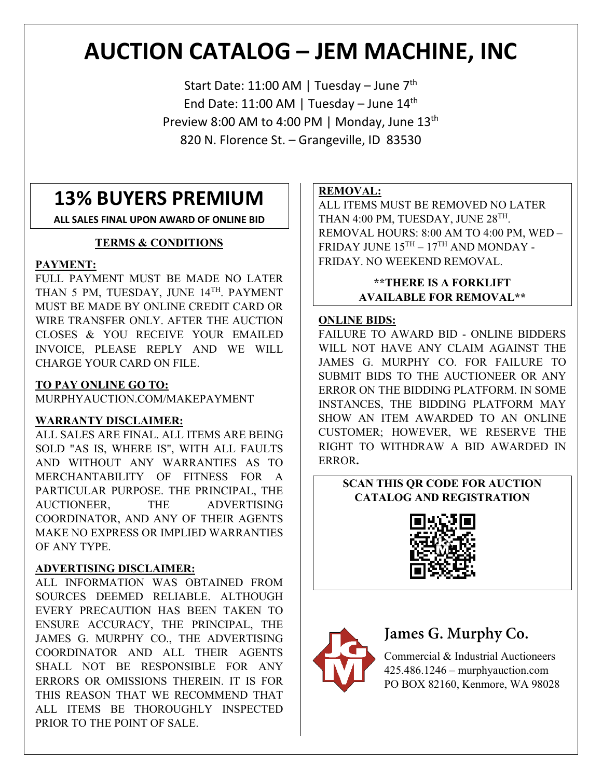# **AUCTION CATALOG – JEM MACHINE, INC**

Start Date: 11:00 AM | Tuesday - June 7<sup>th</sup> End Date: 11:00 AM | Tuesday - June  $14<sup>th</sup>$ Preview 8:00 AM to 4:00 PM | Monday, June 13<sup>th</sup> 820 N. Florence St. – Grangeville, ID 83530

## **13% BUYERS PREMIUM**

**ALL SALES FINAL UPON AWARD OF ONLINE BID**

### **TERMS & CONDITIONS**

### **PAYMENT:**

FULL PAYMENT MUST BE MADE NO LATER THAN 5 PM, TUESDAY, JUNE 14TH, PAYMENT MUST BE MADE BY ONLINE CREDIT CARD OR WIRE TRANSFER ONLY. AFTER THE AUCTION CLOSES & YOU RECEIVE YOUR EMAILED INVOICE, PLEASE REPLY AND WE WILL CHARGE YOUR CARD ON FILE.

### **TO PAY ONLINE GO TO:**

MURPHYAUCTION.COM/MAKEPAYMENT

### **WARRANTY DISCLAIMER:**

ALL SALES ARE FINAL. ALL ITEMS ARE BEING SOLD "AS IS, WHERE IS", WITH ALL FAULTS AND WITHOUT ANY WARRANTIES AS TO MERCHANTABILITY OF FITNESS FOR A PARTICULAR PURPOSE. THE PRINCIPAL, THE AUCTIONEER, THE ADVERTISING COORDINATOR, AND ANY OF THEIR AGENTS MAKE NO EXPRESS OR IMPLIED WARRANTIES OF ANY TYPE.

### **ADVERTISING DISCLAIMER:**

ALL INFORMATION WAS OBTAINED FROM SOURCES DEEMED RELIABLE. ALTHOUGH EVERY PRECAUTION HAS BEEN TAKEN TO ENSURE ACCURACY, THE PRINCIPAL, THE JAMES G. MURPHY CO., THE ADVERTISING COORDINATOR AND ALL THEIR AGENTS SHALL NOT BE RESPONSIBLE FOR ANY ERRORS OR OMISSIONS THEREIN. IT IS FOR THIS REASON THAT WE RECOMMEND THAT ALL ITEMS BE THOROUGHLY INSPECTED PRIOR TO THE POINT OF SALE.

### **REMOVAL:**

ALL ITEMS MUST BE REMOVED NO LATER THAN 4:00 PM, TUESDAY, JUNE 28<sup>TH</sup>. REMOVAL HOURS: 8:00 AM TO 4:00 PM, WED – FRIDAY JUNE  $15^{\mathrm{TH}} - 17^{\mathrm{TH}}$  AND MONDAY -FRIDAY. NO WEEKEND REMOVAL.

### **\*\*THERE IS A FORKLIFT AVAILABLE FOR REMOVAL\*\***

### **ONLINE BIDS:**

FAILURE TO AWARD BID - ONLINE BIDDERS WILL NOT HAVE ANY CLAIM AGAINST THE JAMES G. MURPHY CO. FOR FAILURE TO SUBMIT BIDS TO THE AUCTIONEER OR ANY ERROR ON THE BIDDING PLATFORM. IN SOME INSTANCES, THE BIDDING PLATFORM MAY SHOW AN ITEM AWARDED TO AN ONLINE CUSTOMER; HOWEVER, WE RESERVE THE RIGHT TO WITHDRAW A BID AWARDED IN ERROR**.**

### **SCAN THIS QR CODE FOR AUCTION CATALOG AND REGISTRATION**





## **James G. Murphy Co.**

Commercial & Industrial Auctioneers 425.486.1246 – murphyauction.com PO BOX 82160, Kenmore, WA 98028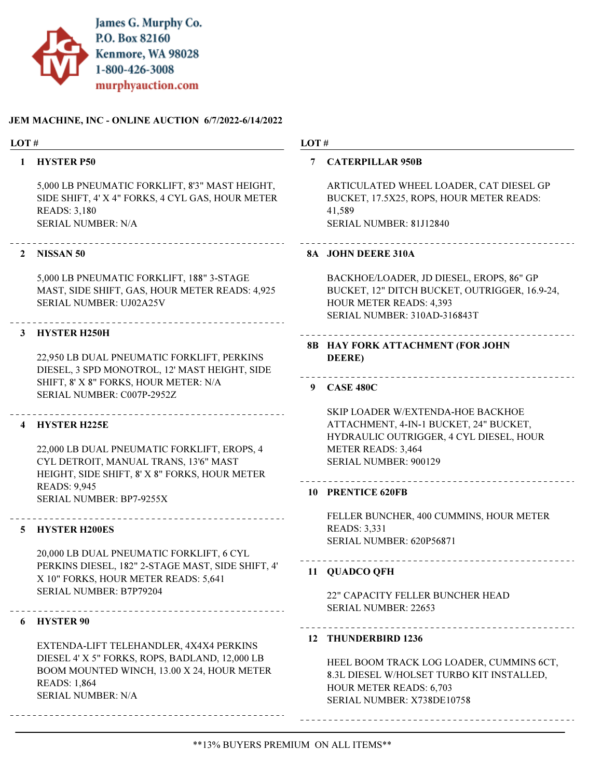

#### JEM MACHINE, INC - ONLINE AUCTION 6/7/2022-6/14/2022

#### LOT #

#### 1 HYSTER P50

5,000 LB PNEUMATIC FORKLIFT, 8'3" MAST HEIGHT, SIDE SHIFT, 4' X 4" FORKS, 4 CYL GAS, HOUR METER READS: 3,180 SERIAL NUMBER: N/A

#### 2 NISSAN 50

5,000 LB PNEUMATIC FORKLIFT, 188" 3-STAGE MAST, SIDE SHIFT, GAS, HOUR METER READS: 4,925 SERIAL NUMBER: UJ02A25V

#### 3 HYSTER H250H

22,950 LB DUAL PNEUMATIC FORKLIFT, PERKINS DIESEL, 3 SPD MONOTROL, 12' MAST HEIGHT, SIDE SHIFT, 8' X 8" FORKS, HOUR METER: N/A SERIAL NUMBER: C007P-2952Z

#### 4 HYSTER H225E

22,000 LB DUAL PNEUMATIC FORKLIFT, EROPS, 4 CYL DETROIT, MANUAL TRANS, 13'6" MAST HEIGHT, SIDE SHIFT, 8' X 8" FORKS, HOUR METER READS: 9,945 SERIAL NUMBER: BP7-9255X

#### 5 HYSTER H200ES

20,000 LB DUAL PNEUMATIC FORKLIFT, 6 CYL PERKINS DIESEL, 182" 2-STAGE MAST, SIDE SHIFT, 4' X 10" FORKS, HOUR METER READS: 5,641 SERIAL NUMBER: B7P79204

#### 6 HYSTER 90

EXTENDA-LIFT TELEHANDLER, 4X4X4 PERKINS DIESEL 4' X 5" FORKS, ROPS, BADLAND, 12,000 LB BOOM MOUNTED WINCH, 13.00 X 24, HOUR METER READS: 1,864 SERIAL NUMBER: N/A

#### LOT #

#### 7 CATERPILLAR 950B

ARTICULATED WHEEL LOADER, CAT DIESEL GP BUCKET, 17.5X25, ROPS, HOUR METER READS: 41,589 SERIAL NUMBER: 81J12840

#### 8A JOHN DEERE 310A

BACKHOE/LOADER, JD DIESEL, EROPS, 86" GP BUCKET, 12" DITCH BUCKET, OUTRIGGER, 16.9-24, HOUR METER READS: 4,393 SERIAL NUMBER: 310AD-316843T

### HAY FORK ATTACHMENT (FOR JOHN 8B DEERE)

#### 9 CASE 480C

SKIP LOADER W/EXTENDA-HOE BACKHOE ATTACHMENT, 4-IN-1 BUCKET, 24" BUCKET, HYDRAULIC OUTRIGGER, 4 CYL DIESEL, HOUR METER READS: 3,464 SERIAL NUMBER: 900129

#### 10 PRENTICE 620FB

FELLER BUNCHER, 400 CUMMINS, HOUR METER READS: 3,331 SERIAL NUMBER: 620P56871

#### 11 QUADCO QFH

22" CAPACITY FELLER BUNCHER HEAD SERIAL NUMBER: 22653

#### 12 THUNDERBIRD 1236

HEEL BOOM TRACK LOG LOADER, CUMMINS 6CT, 8.3L DIESEL W/HOLSET TURBO KIT INSTALLED, HOUR METER READS: 6,703 SERIAL NUMBER: X738DE10758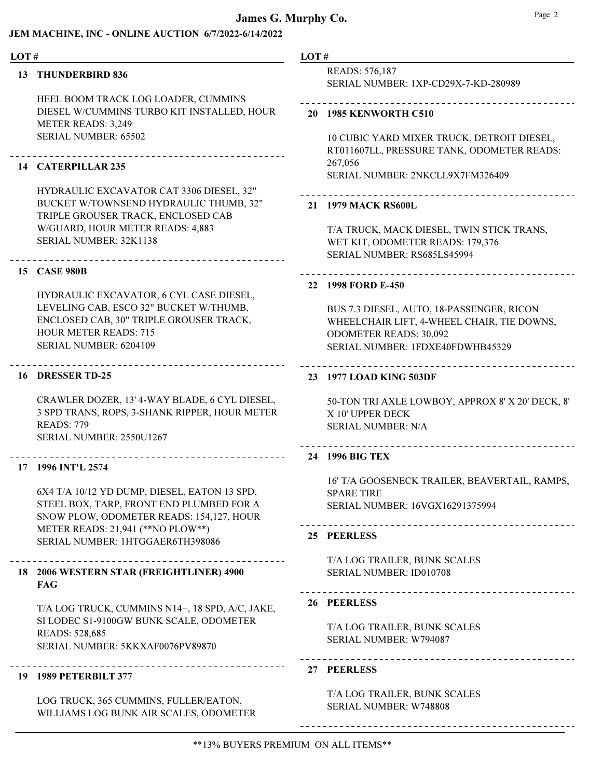#### JEM MACHINE, INC - ONLINE AUCTION 6/7/2022-6/14/2022

#### LOT #

#### 13 THUNDERBIRD 836

HEEL BOOM TRACK LOG LOADER, CUMMINS DIESEL W/CUMMINS TURBO KIT INSTALLED, HOUR METER READS: 3,249 SERIAL NUMBER: 65502

#### 14 CATERPILLAR 235

HYDRAULIC EXCAVATOR CAT 3306 DIESEL, 32" BUCKET W/TOWNSEND HYDRAULIC THUMB, 32" TRIPLE GROUSER TRACK, ENCLOSED CAB W/GUARD, HOUR METER READS: 4,883 SERIAL NUMBER: 32K1138

### 15 CASE 980B

HYDRAULIC EXCAVATOR, 6 CYL CASE DIESEL, LEVELING CAB, ESCO 32" BUCKET W/THUMB, ENCLOSED CAB, 30" TRIPLE GROUSER TRACK, HOUR METER READS: 715 SERIAL NUMBER: 6204109

#### 16 DRESSER TD-25

CRAWLER DOZER, 13' 4-WAY BLADE, 6 CYL DIESEL, 3 SPD TRANS, ROPS, 3-SHANK RIPPER, HOUR METER READS: 779 SERIAL NUMBER: 2550U1267

#### 17 1996 INT'L 2574

6X4 T/A 10/12 YD DUMP, DIESEL, EATON 13 SPD, STEEL BOX, TARP, FRONT END PLUMBED FOR A SNOW PLOW, ODOMETER READS: 154,127, HOUR METER READS: 21,941 (\*\*NO PLOW\*\*) SERIAL NUMBER: 1HTGGAER6TH398086

#### 2006 WESTERN STAR (FREIGHTLINER) 4900 18 FAG

T/A LOG TRUCK, CUMMINS N14+, 18 SPD, A/C, JAKE, SI LODEC S1-9100GW BUNK SCALE, ODOMETER READS: 528,685 SERIAL NUMBER: 5KKXAF0076PV89870

### 19 1989 PETERBILT 377

LOG TRUCK, 365 CUMMINS, FULLER/EATON, WILLIAMS LOG BUNK AIR SCALES, ODOMETER

#### LOT #

READS: 576,187 SERIAL NUMBER: 1XP-CD29X-7-KD-280989

#### 20 1985 KENWORTH C510

10 CUBIC YARD MIXER TRUCK, DETROIT DIESEL, RT011607LL, PRESSURE TANK, ODOMETER READS: 267,056 SERIAL NUMBER: 2NKCLL9X7FM326409

### 21 1979 MACK RS600L

T/A TRUCK, MACK DIESEL, TWIN STICK TRANS, WET KIT, ODOMETER READS: 179,376 SERIAL NUMBER: RS685LS45994

#### 22 1998 FORD E-450

BUS 7.3 DIESEL, AUTO, 18-PASSENGER, RICON WHEELCHAIR LIFT, 4-WHEEL CHAIR, TIE DOWNS, ODOMETER READS: 30,092 SERIAL NUMBER: 1FDXE40FDWHB45329

#### 23 1977 LOAD KING 503DF

50-TON TRI AXLE LOWBOY, APPROX 8' X 20' DECK, 8' X 10' UPPER DECK SERIAL NUMBER: N/A

#### 

#### 24 1996 BIG TEX

16' T/A GOOSENECK TRAILER, BEAVERTAIL, RAMPS, SPARE TIRE SERIAL NUMBER: 16VGX16291375994

#### 25 PEERLESS

T/A LOG TRAILER, BUNK SCALES SERIAL NUMBER: ID010708

#### 26 PEERLESS

T/A LOG TRAILER, BUNK SCALES SERIAL NUMBER: W794087

27 PEERLESS

T/A LOG TRAILER, BUNK SCALES SERIAL NUMBER: W748808

----------------------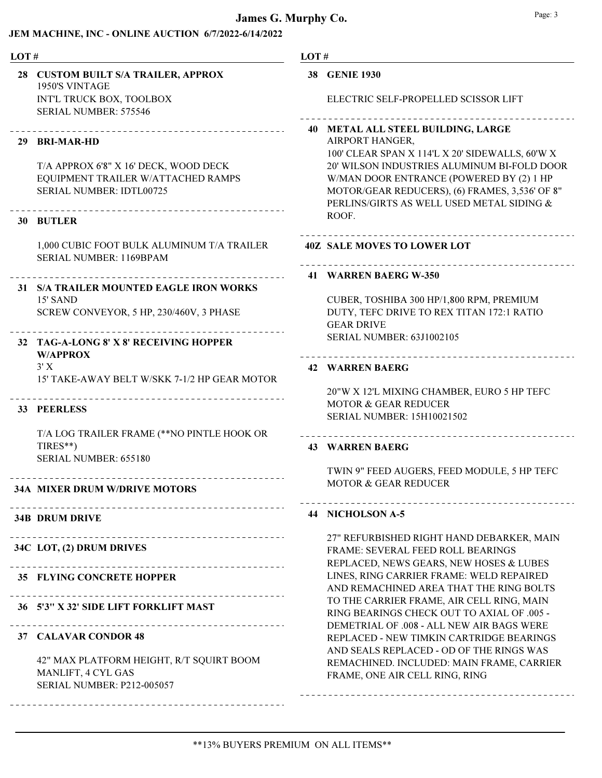| LOT# |                                                                                                            | LOT# |                                                                                                                                                                                        |
|------|------------------------------------------------------------------------------------------------------------|------|----------------------------------------------------------------------------------------------------------------------------------------------------------------------------------------|
|      | 28 CUSTOM BUILT S/A TRAILER, APPROX<br>1950'S VINTAGE<br>INT'L TRUCK BOX, TOOLBOX<br>SERIAL NUMBER: 575546 |      | 38 GENIE 1930<br>ELECTRIC SELF-PROPELLED SCISSOR LIFT                                                                                                                                  |
|      | ________________________________<br>29 BRI-MAR-HD                                                          |      | 40 METAL ALL STEEL BUILDING, LARGE<br>AIRPORT HANGER,<br>100' CLEAR SPAN X 114'L X 20' SIDEWALLS, 60'W X                                                                               |
|      | T/A APPROX 6'8" X 16' DECK, WOOD DECK<br>EQUIPMENT TRAILER W/ATTACHED RAMPS<br>SERIAL NUMBER: IDTL00725    |      | 20' WILSON INDUSTRIES ALUMINUM BI-FOLD DOOR<br>W/MAN DOOR ENTRANCE (POWERED BY (2) 1 HP<br>MOTOR/GEAR REDUCERS), (6) FRAMES, 3,536' OF 8"<br>PERLINS/GIRTS AS WELL USED METAL SIDING & |
|      | 30 BUTLER                                                                                                  |      | ROOF.                                                                                                                                                                                  |
|      | 1,000 CUBIC FOOT BULK ALUMINUM T/A TRAILER<br>SERIAL NUMBER: 1169BPAM                                      |      | <b>40Z SALE MOVES TO LOWER LOT</b>                                                                                                                                                     |
|      | 31 S/A TRAILER MOUNTED EAGLE IRON WORKS                                                                    |      | 41 WARREN BAERG W-350                                                                                                                                                                  |
|      | 15' SAND<br>SCREW CONVEYOR, 5 HP, 230/460V, 3 PHASE                                                        |      | CUBER, TOSHIBA 300 HP/1,800 RPM, PREMIUM<br>DUTY, TEFC DRIVE TO REX TITAN 172:1 RATIO<br><b>GEAR DRIVE</b>                                                                             |
|      | 32 TAG-A-LONG 8' X 8' RECEIVING HOPPER<br><b>W/APPROX</b>                                                  |      | <b>SERIAL NUMBER: 63J1002105</b>                                                                                                                                                       |
|      | 3'X<br>15' TAKE-AWAY BELT W/SKK 7-1/2 HP GEAR MOTOR                                                        |      | <b>42 WARREN BAERG</b>                                                                                                                                                                 |
|      | 33 PEERLESS                                                                                                |      | 20"W X 12'L MIXING CHAMBER, EURO 5 HP TEFC<br><b>MOTOR &amp; GEAR REDUCER</b><br>SERIAL NUMBER: 15H10021502                                                                            |
|      | T/A LOG TRAILER FRAME (**NO PINTLE HOOK OR<br>TIRES**)                                                     |      | <b>43 WARREN BAERG</b>                                                                                                                                                                 |
|      | SERIAL NUMBER: 655180                                                                                      |      | TWIN 9" FEED AUGERS, FEED MODULE, 5 HP TEFC<br><b>MOTOR &amp; GEAR REDUCER</b>                                                                                                         |
|      | <b>34A MIXER DRUM W/DRIVE MOTORS</b>                                                                       |      |                                                                                                                                                                                        |
|      | <b>34B DRUM DRIVE</b>                                                                                      |      | 44 NICHOLSON A-5                                                                                                                                                                       |
|      | 34C LOT, (2) DRUM DRIVES<br>___________________________________                                            |      | 27" REFURBISHED RIGHT HAND DEBARKER, MAIN<br>FRAME: SEVERAL FEED ROLL BEARINGS<br>REPLACED, NEWS GEARS, NEW HOSES & LUBES                                                              |
|      | 35 FLYING CONCRETE HOPPER                                                                                  |      | LINES, RING CARRIER FRAME: WELD REPAIRED<br>AND REMACHINED AREA THAT THE RING BOLTS                                                                                                    |
|      | 36 5'3" X 32' SIDE LIFT FORKLIFT MAST                                                                      |      | TO THE CARRIER FRAME, AIR CELL RING, MAIN<br>RING BEARINGS CHECK OUT TO AXIAL OF .005 -<br>DEMETRIAL OF .008 - ALL NEW AIR BAGS WERE                                                   |
|      | 37 CALAVAR CONDOR 48                                                                                       |      | REPLACED - NEW TIMKIN CARTRIDGE BEARINGS<br>AND SEALS REPLACED - OD OF THE RINGS WAS                                                                                                   |
|      | 42" MAX PLATFORM HEIGHT, R/T SQUIRT BOOM<br>MANLIFT, 4 CYL GAS<br>SERIAL NUMBER: P212-005057               |      | REMACHINED. INCLUDED: MAIN FRAME, CARRIER<br>FRAME, ONE AIR CELL RING, RING                                                                                                            |
|      |                                                                                                            |      |                                                                                                                                                                                        |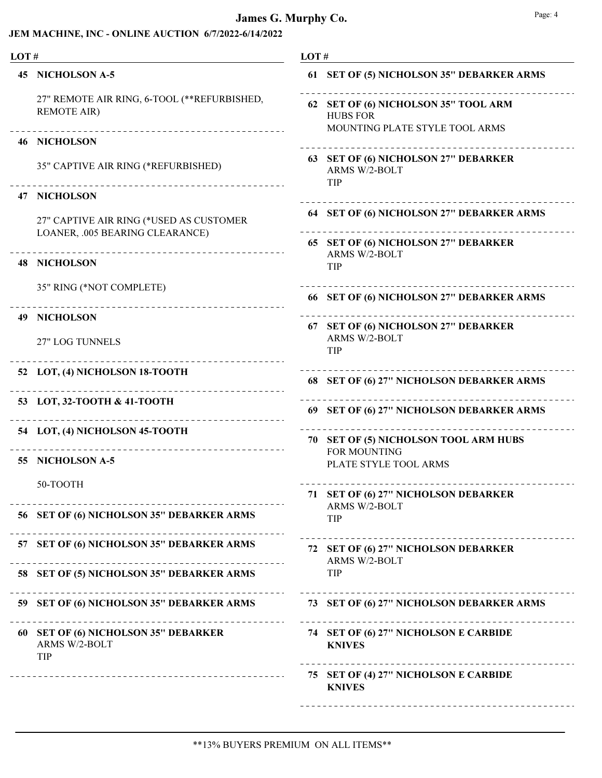### JEM MACHINE, INC - ONLINE AUCTION 6/7/2022-6/14/2022

| LOT# |                                                                                                   | LOT# |                                                                                           |
|------|---------------------------------------------------------------------------------------------------|------|-------------------------------------------------------------------------------------------|
| 45.  | <b>NICHOLSON A-5</b>                                                                              |      | 61 SET OF (5) NICHOLSON 35" DEBARKER ARMS                                                 |
|      | 27" REMOTE AIR RING, 6-TOOL (**REFURBISHED,<br><b>REMOTE AIR)</b><br>____________________________ |      | 62 SET OF (6) NICHOLSON 35" TOOL ARM<br><b>HUBS FOR</b><br>MOUNTING PLATE STYLE TOOL ARMS |
|      | <b>46 NICHOLSON</b>                                                                               |      |                                                                                           |
|      | 35" CAPTIVE AIR RING (*REFURBISHED)                                                               |      | 63 SET OF (6) NICHOLSON 27" DEBARKER<br>ARMS W/2-BOLT<br>TIP                              |
|      | <b>47 NICHOLSON</b>                                                                               |      |                                                                                           |
|      | 27" CAPTIVE AIR RING (*USED AS CUSTOMER<br>LOANER, .005 BEARING CLEARANCE)                        |      | 64 SET OF (6) NICHOLSON 27" DEBARKER ARMS                                                 |
| 48.  | <b>NICHOLSON</b>                                                                                  |      | 65 SET OF (6) NICHOLSON 27" DEBARKER<br>ARMS W/2-BOLT<br>TIP                              |
|      | 35" RING (*NOT COMPLETE)                                                                          |      | 66 SET OF (6) NICHOLSON 27" DEBARKER ARMS                                                 |
| 49.  | <b>NICHOLSON</b>                                                                                  |      | 67 SET OF (6) NICHOLSON 27" DEBARKER                                                      |
|      | 27" LOG TUNNELS                                                                                   |      | <b>ARMS W/2-BOLT</b><br>TIP                                                               |
|      | 52 LOT, (4) NICHOLSON 18-TOOTH                                                                    |      | 68 SET OF (6) 27" NICHOLSON DEBARKER ARMS                                                 |
|      | 53 LOT, 32-TOOTH & 41-TOOTH                                                                       |      | 69 SET OF (6) 27" NICHOLSON DEBARKER ARMS                                                 |
|      | 54 LOT, (4) NICHOLSON 45-TOOTH                                                                    |      | 70 SET OF (5) NICHOLSON TOOL ARM HUBS<br>FOR MOUNTING                                     |
| 55.  | <b>NICHOLSON A-5</b>                                                                              |      | PLATE STYLE TOOL ARMS                                                                     |
|      | 50-TOOTH                                                                                          |      | 71 SET OF (6) 27" NICHOLSON DEBARKER                                                      |
|      | 56 SET OF (6) NICHOLSON 35" DEBARKER ARMS                                                         |      | ARMS W/2-BOLT<br>TIP                                                                      |
|      | 57 SET OF (6) NICHOLSON 35" DEBARKER ARMS                                                         |      | 72 SET OF (6) 27" NICHOLSON DEBARKER<br>ARMS W/2-BOLT                                     |
|      | 58 SET OF (5) NICHOLSON 35" DEBARKER ARMS                                                         |      | TIP                                                                                       |
|      | 59 SET OF (6) NICHOLSON 35" DEBARKER ARMS<br><u>.</u>                                             |      | 73 SET OF (6) 27" NICHOLSON DEBARKER ARMS                                                 |
|      | 60 SET OF (6) NICHOLSON 35" DEBARKER<br>ARMS W/2-BOLT<br>TIP                                      |      | 74 SET OF (6) 27" NICHOLSON E CARBIDE<br><b>KNIVES</b>                                    |
|      |                                                                                                   |      | 75 SET OF (4) 27" NICHOLSON E CARBIDE<br><b>KNIVES</b>                                    |

\_\_\_\_\_\_\_\_\_\_\_\_\_\_\_\_\_\_\_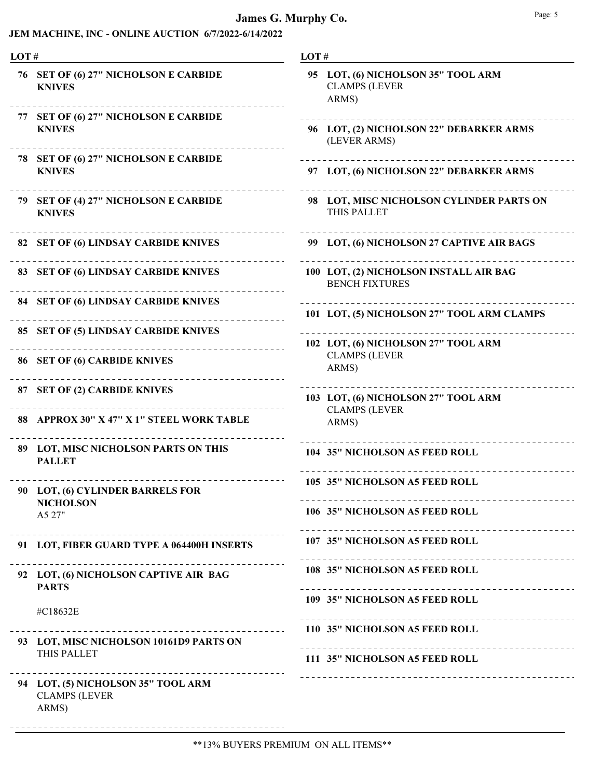| LOT# |                                                                     | LOT# |                                                                     |
|------|---------------------------------------------------------------------|------|---------------------------------------------------------------------|
|      | 76 SET OF (6) 27" NICHOLSON E CARBIDE<br><b>KNIVES</b>              |      | 95 LOT, (6) NICHOLSON 35" TOOL ARM<br><b>CLAMPS (LEVER</b><br>ARMS) |
|      | 77 SET OF (6) 27" NICHOLSON E CARBIDE<br><b>KNIVES</b>              |      | 96 LOT, (2) NICHOLSON 22" DEBARKER ARMS<br>(LEVER ARMS)             |
|      | 78 SET OF (6) 27" NICHOLSON E CARBIDE<br><b>KNIVES</b>              |      | 97 LOT, (6) NICHOLSON 22" DEBARKER ARMS                             |
|      | 79 SET OF (4) 27" NICHOLSON E CARBIDE<br><b>KNIVES</b>              |      | 98 LOT, MISC NICHOLSON CYLINDER PARTS ON<br>THIS PALLET             |
|      | 82 SET OF (6) LINDSAY CARBIDE KNIVES                                |      | 99 LOT, (6) NICHOLSON 27 CAPTIVE AIR BAGS                           |
|      | 83 SET OF (6) LINDSAY CARBIDE KNIVES                                |      | 100 LOT, (2) NICHOLSON INSTALL AIR BAG<br><b>BENCH FIXTURES</b>     |
|      | 84 SET OF (6) LINDSAY CARBIDE KNIVES                                |      | 101 LOT, (5) NICHOLSON 27" TOOL ARM CLAMPS                          |
|      | 85 SET OF (5) LINDSAY CARBIDE KNIVES                                |      | 102 LOT, (6) NICHOLSON 27" TOOL ARM                                 |
|      | 86 SET OF (6) CARBIDE KNIVES                                        |      | <b>CLAMPS (LEVER</b><br>ARMS)                                       |
|      | 87 SET OF (2) CARBIDE KNIVES                                        |      | 103 LOT, (6) NICHOLSON 27" TOOL ARM<br><b>CLAMPS (LEVER</b>         |
|      | 88 APPROX 30" X 47" X 1" STEEL WORK TABLE                           |      | ARMS)                                                               |
|      | 89 LOT, MISC NICHOLSON PARTS ON THIS<br><b>PALLET</b>               |      | 104 35" NICHOLSON A5 FEED ROLL                                      |
|      | 90 LOT, (6) CYLINDER BARRELS FOR<br><b>NICHOLSON</b><br>A5 27"      |      | 105 35" NICHOLSON A5 FEED ROLL                                      |
|      |                                                                     |      | 106 35" NICHOLSON A5 FEED ROLL                                      |
|      | 91 LOT, FIBER GUARD TYPE A 064400H INSERTS                          |      | 107 35" NICHOLSON A5 FEED ROLL                                      |
|      | 92 LOT, (6) NICHOLSON CAPTIVE AIR BAG<br><b>PARTS</b>               |      | 108 35" NICHOLSON A5 FEED ROLL                                      |
|      | #C18632E                                                            |      | 109 35" NICHOLSON A5 FEED ROLL                                      |
|      |                                                                     |      | 110 35" NICHOLSON A5 FEED ROLL                                      |
|      | 93 LOT, MISC NICHOLSON 10161D9 PARTS ON<br>THIS PALLET              |      | 111 35" NICHOLSON A5 FEED ROLL                                      |
|      | 94 LOT, (5) NICHOLSON 35" TOOL ARM<br><b>CLAMPS (LEVER</b><br>ARMS) |      |                                                                     |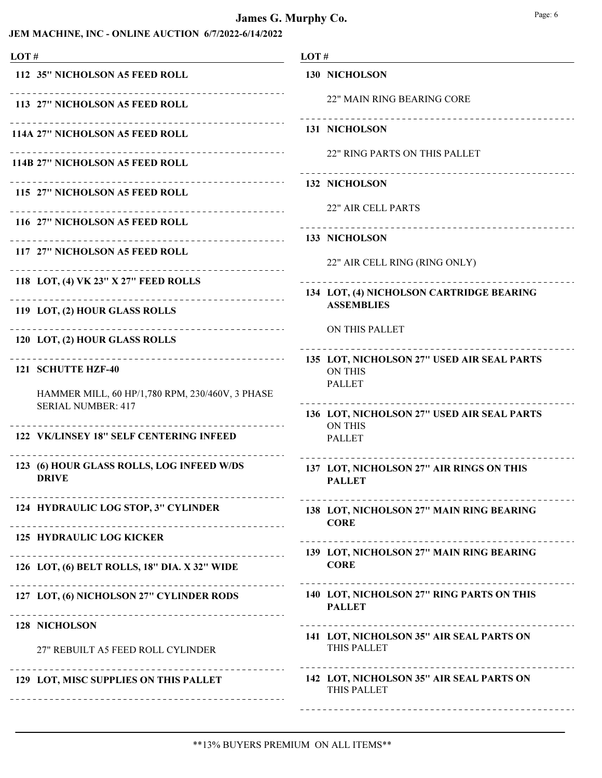### James G. Murphy Co. Bage: 6 Page: 6

| LOT#                                                                         | LOT#                                                                          |
|------------------------------------------------------------------------------|-------------------------------------------------------------------------------|
| 112 35" NICHOLSON A5 FEED ROLL                                               | <b>130 NICHOLSON</b>                                                          |
| _______________<br>113 27" NICHOLSON A5 FEED ROLL                            | 22" MAIN RING BEARING CORE                                                    |
| ________________________________<br>114A 27" NICHOLSON A5 FEED ROLL          | 131 NICHOLSON                                                                 |
| -------------------<br>114B 27" NICHOLSON A5 FEED ROLL                       | 22" RING PARTS ON THIS PALLET                                                 |
| 115 27" NICHOLSON A5 FEED ROLL                                               | <b>132 NICHOLSON</b>                                                          |
| ____________________<br>116 27" NICHOLSON A5 FEED ROLL                       | <b>22" AIR CELL PARTS</b>                                                     |
| 133 NICHOLSON<br>117 27" NICHOLSON A5 FEED ROLL                              |                                                                               |
| _ _ _ _ _ _ _ _ _ _ _ _ _ _ _ _                                              | 22" AIR CELL RING (RING ONLY)                                                 |
| 118 LOT, (4) VK 23" X 27" FEED ROLLS<br>__________________                   | 134 LOT, (4) NICHOLSON CARTRIDGE BEARING                                      |
| 119 LOT, (2) HOUR GLASS ROLLS                                                | <b>ASSEMBLIES</b>                                                             |
| _______________________<br>120 LOT, (2) HOUR GLASS ROLLS                     | ON THIS PALLET                                                                |
| 121 SCHUTTE HZF-40                                                           | 135 LOT, NICHOLSON 27" USED AIR SEAL PARTS<br><b>ON THIS</b><br><b>PALLET</b> |
| HAMMER MILL, 60 HP/1,780 RPM, 230/460V, 3 PHASE<br><b>SERIAL NUMBER: 417</b> | 136 LOT, NICHOLSON 27" USED AIR SEAL PARTS                                    |
| ---------------------------<br>122 VK/LINSEY 18" SELF CENTERING INFEED       | <b>ON THIS</b><br><b>PALLET</b>                                               |
| 123 (6) HOUR GLASS ROLLS, LOG INFEED W/DS<br><b>DRIVE</b>                    | 137 LOT, NICHOLSON 27" AIR RINGS ON THIS<br><b>PALLET</b>                     |
| 124 HYDRAULIC LOG STOP, 3" CYLINDER                                          | 138 LOT, NICHOLSON 27" MAIN RING BEARING<br><b>CORE</b>                       |
| <b>125 HYDRAULIC LOG KICKER</b>                                              |                                                                               |
| 126 LOT, (6) BELT ROLLS, 18" DIA. X 32" WIDE                                 | 139 LOT, NICHOLSON 27" MAIN RING BEARING<br><b>CORE</b>                       |
| 127 LOT, (6) NICHOLSON 27" CYLINDER RODS                                     | 140 LOT, NICHOLSON 27" RING PARTS ON THIS<br><b>PALLET</b>                    |
| 128 NICHOLSON                                                                | 141 LOT, NICHOLSON 35" AIR SEAL PARTS ON                                      |
| 27" REBUILT A5 FEED ROLL CYLINDER                                            | THIS PALLET                                                                   |
| 129 LOT, MISC SUPPLIES ON THIS PALLET                                        | 142 LOT, NICHOLSON 35" AIR SEAL PARTS ON<br>THIS PALLET                       |
|                                                                              |                                                                               |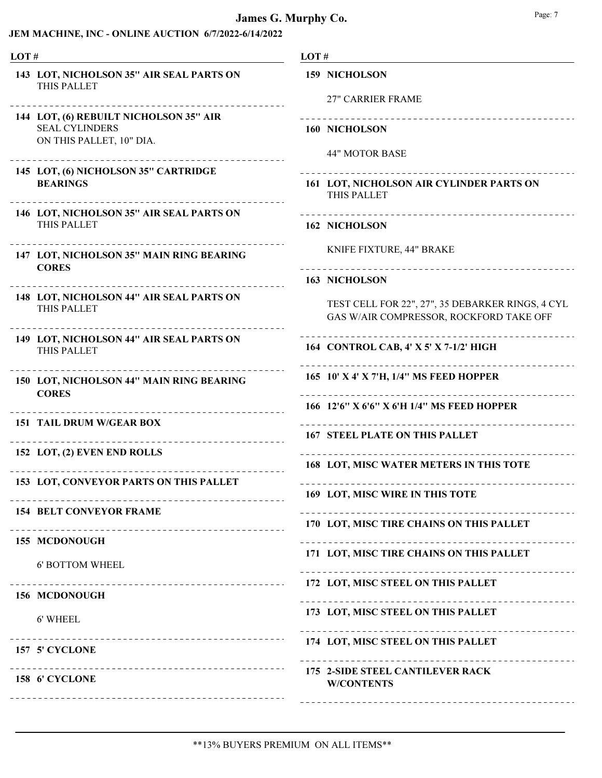| LOT# |                                                                                             | LOT#                                                                                        |
|------|---------------------------------------------------------------------------------------------|---------------------------------------------------------------------------------------------|
|      | 143 LOT, NICHOLSON 35" AIR SEAL PARTS ON<br>THIS PALLET                                     | <b>159 NICHOLSON</b><br><b>27" CARRIER FRAME</b>                                            |
|      | 144 LOT, (6) REBUILT NICHOLSON 35" AIR<br><b>SEAL CYLINDERS</b><br>ON THIS PALLET, 10" DIA. | 160 NICHOLSON<br><b>44" MOTOR BASE</b>                                                      |
|      | 145 LOT, (6) NICHOLSON 35" CARTRIDGE<br><b>BEARINGS</b>                                     | 161 LOT, NICHOLSON AIR CYLINDER PARTS ON<br>THIS PALLET                                     |
|      | 146 LOT, NICHOLSON 35" AIR SEAL PARTS ON<br>THIS PALLET                                     | <b>162 NICHOLSON</b>                                                                        |
|      | 147 LOT, NICHOLSON 35" MAIN RING BEARING<br><b>CORES</b>                                    | KNIFE FIXTURE, 44" BRAKE                                                                    |
|      |                                                                                             | <b>163 NICHOLSON</b>                                                                        |
|      | 148 LOT, NICHOLSON 44" AIR SEAL PARTS ON<br>THIS PALLET                                     | TEST CELL FOR 22", 27", 35 DEBARKER RINGS, 4 CYL<br>GAS W/AIR COMPRESSOR, ROCKFORD TAKE OFF |
|      | 149 LOT, NICHOLSON 44" AIR SEAL PARTS ON<br>THIS PALLET                                     | 164 CONTROL CAB, 4' X 5' X 7-1/2' HIGH                                                      |
|      | ____________________________<br>150 LOT, NICHOLSON 44" MAIN RING BEARING<br><b>CORES</b>    | 165 10' X 4' X 7'H, 1/4" MS FEED HOPPER                                                     |
|      | -------------------------------                                                             | 166 12'6" X 6'6" X 6'H 1/4" MS FEED HOPPER                                                  |
|      | <b>151 TAIL DRUM W/GEAR BOX</b>                                                             | <b>167 STEEL PLATE ON THIS PALLET</b>                                                       |
|      | 152 LOT, (2) EVEN END ROLLS                                                                 | 168 LOT, MISC WATER METERS IN THIS TOTE                                                     |
|      | 153 LOT, CONVEYOR PARTS ON THIS PALLET                                                      | 169 LOT, MISC WIRE IN THIS TOTE                                                             |
|      | <b>154 BELT CONVEYOR FRAME</b>                                                              | 170 LOT, MISC TIRE CHAINS ON THIS PALLET                                                    |
|      | 155 MCDONOUGH                                                                               | 171 LOT, MISC TIRE CHAINS ON THIS PALLET                                                    |
|      | <b>6' BOTTOM WHEEL</b>                                                                      |                                                                                             |
|      | 156 MCDONOUGH                                                                               | 172 LOT, MISC STEEL ON THIS PALLET<br>------------------------------                        |
|      | 6' WHEEL                                                                                    | 173 LOT, MISC STEEL ON THIS PALLET                                                          |
|      | ------------------------------------<br>157 5' CYCLONE                                      | 174 LOT, MISC STEEL ON THIS PALLET                                                          |
|      | 158 6' CYCLONE                                                                              | 175 2-SIDE STEEL CANTILEVER RACK<br><b>W/CONTENTS</b>                                       |
|      |                                                                                             |                                                                                             |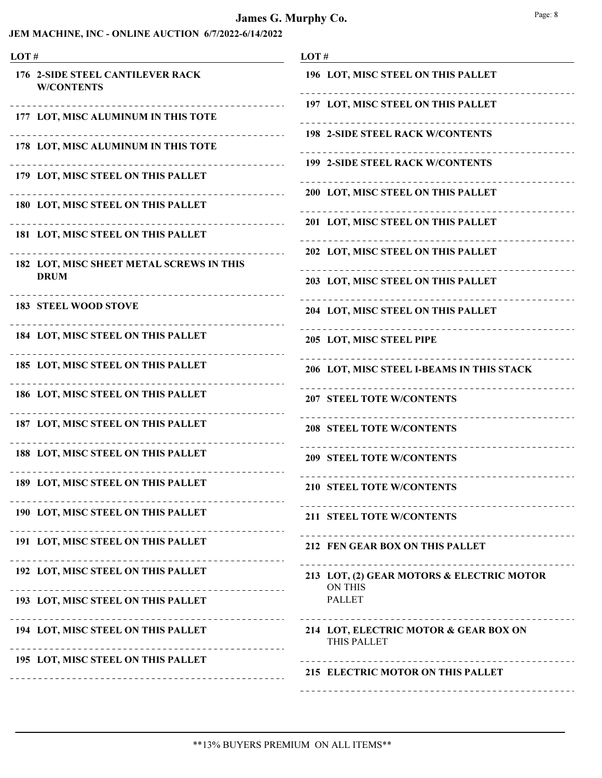| LOT# |                                                                       | LOT#                                                        |
|------|-----------------------------------------------------------------------|-------------------------------------------------------------|
|      | <b>176 2-SIDE STEEL CANTILEVER RACK</b><br><b>W/CONTENTS</b>          | 196 LOT, MISC STEEL ON THIS PALLET                          |
|      | 177 LOT, MISC ALUMINUM IN THIS TOTE                                   | 197 LOT, MISC STEEL ON THIS PALLET                          |
|      | _ _ _ _ _ _ _ _ _ _ _<br>178 LOT, MISC ALUMINUM IN THIS TOTE          | <b>198 2-SIDE STEEL RACK W/CONTENTS</b>                     |
|      | 179 LOT, MISC STEEL ON THIS PALLET                                    | <b>199 2-SIDE STEEL RACK W/CONTENTS</b>                     |
|      |                                                                       | 200 LOT, MISC STEEL ON THIS PALLET                          |
|      | 180 LOT, MISC STEEL ON THIS PALLET                                    | 201 LOT, MISC STEEL ON THIS PALLET                          |
|      | 181 LOT, MISC STEEL ON THIS PALLET                                    | 202 LOT, MISC STEEL ON THIS PALLET                          |
|      | 182 LOT, MISC SHEET METAL SCREWS IN THIS<br><b>DRUM</b>               | 203 LOT, MISC STEEL ON THIS PALLET                          |
|      | <b>183 STEEL WOOD STOVE</b>                                           |                                                             |
|      |                                                                       | 204 LOT, MISC STEEL ON THIS PALLET                          |
|      | 184 LOT, MISC STEEL ON THIS PALLET                                    | 205 LOT, MISC STEEL PIPE                                    |
|      | 185 LOT, MISC STEEL ON THIS PALLET                                    | 206 LOT, MISC STEEL I-BEAMS IN THIS STACK                   |
|      | 186 LOT, MISC STEEL ON THIS PALLET                                    | 207 STEEL TOTE W/CONTENTS                                   |
|      | 187 LOT, MISC STEEL ON THIS PALLET                                    | <b>208 STEEL TOTE W/CONTENTS</b>                            |
|      | 188 LOT, MISC STEEL ON THIS PALLET                                    | <b>209 STEEL TOTE W/CONTENTS</b>                            |
|      | 189 LOT, MISC STEEL ON THIS PALLET                                    | <b>210 STEEL TOTE W/CONTENTS</b>                            |
|      | 190 LOT, MISC STEEL ON THIS PALLET                                    | 211 STEEL TOTE W/CONTENTS                                   |
|      | _______________<br>191 LOT, MISC STEEL ON THIS PALLET                 | 212 FEN GEAR BOX ON THIS PALLET                             |
|      | 192 LOT, MISC STEEL ON THIS PALLET                                    | 213 LOT, (2) GEAR MOTORS & ELECTRIC MOTOR<br><b>ON THIS</b> |
|      | _______________________________<br>193 LOT, MISC STEEL ON THIS PALLET | <b>PALLET</b>                                               |
|      | 194 LOT, MISC STEEL ON THIS PALLET                                    | 214 LOT, ELECTRIC MOTOR & GEAR BOX ON<br>THIS PALLET        |
|      | 195 LOT, MISC STEEL ON THIS PALLET                                    |                                                             |
|      |                                                                       | 215 ELECTRIC MOTOR ON THIS PALLET                           |
|      |                                                                       |                                                             |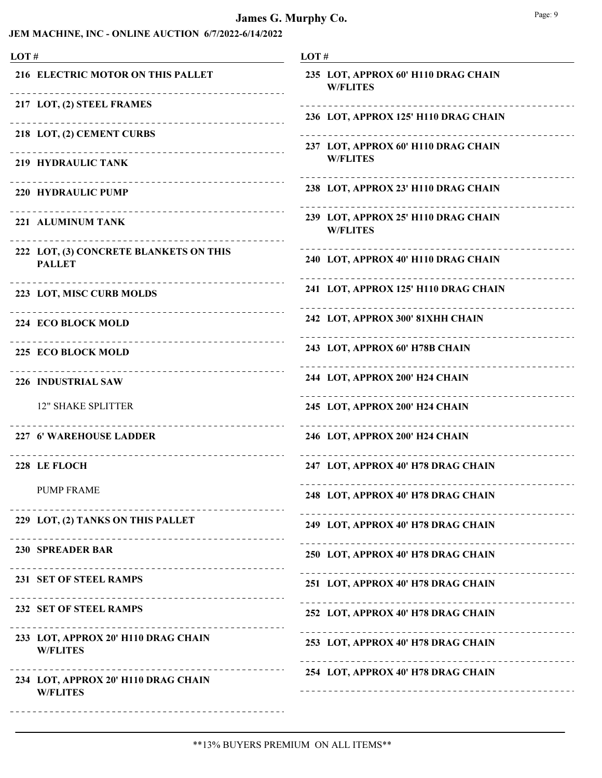| LOT#                                                                    | LOT#                                                    |
|-------------------------------------------------------------------------|---------------------------------------------------------|
| 216 ELECTRIC MOTOR ON THIS PALLET                                       | 235 LOT, APPROX 60' H110 DRAG CHAIN<br><b>W/FLITES</b>  |
| 217 LOT, (2) STEEL FRAMES                                               | 236 LOT, APPROX 125' H110 DRAG CHAIN                    |
| 218 LOT, (2) CEMENT CURBS                                               | 237 LOT, APPROX 60' H110 DRAG CHAIN                     |
| 219 HYDRAULIC TANK                                                      | <b>W/FLITES</b>                                         |
| ----------------------------<br>220 HYDRAULIC PUMP                      | 238 LOT, APPROX 23' H110 DRAG CHAIN                     |
| 221 ALUMINUM TANK<br><u> - - - - - - - - - - -</u>                      | 239 LOT, APPROX 25' H110 DRAG CHAIN<br><b>W/FLITES</b>  |
| 222 LOT, (3) CONCRETE BLANKETS ON THIS<br><b>PALLET</b>                 | 240 LOT, APPROX 40' H110 DRAG CHAIN                     |
| 223 LOT, MISC CURB MOLDS                                                | 241 LOT, APPROX 125' H110 DRAG CHAIN                    |
| ------------------------------<br>224 ECO BLOCK MOLD                    | 242 LOT, APPROX 300' 81XHH CHAIN<br>___________________ |
| 225 ECO BLOCK MOLD                                                      | 243 LOT, APPROX 60' H78B CHAIN                          |
| -------------------------------<br>-------------<br>226 INDUSTRIAL SAW  | 244 LOT, APPROX 200' H24 CHAIN<br>__________________    |
| <b>12" SHAKE SPLITTER</b>                                               | 245 LOT, APPROX 200' H24 CHAIN                          |
| 227 6' WAREHOUSE LADDER                                                 | 246 LOT, APPROX 200' H24 CHAIN                          |
| 228 LE FLOCH                                                            | 247 LOT, APPROX 40' H78 DRAG CHAIN                      |
| <b>PUMP FRAME</b>                                                       | 248 LOT, APPROX 40' H78 DRAG CHAIN                      |
| 229 LOT, (2) TANKS ON THIS PALLET<br><u>_______________________</u> ___ | 249 LOT, APPROX 40' H78 DRAG CHAIN                      |
| 230 SPREADER BAR                                                        | 250 LOT, APPROX 40' H78 DRAG CHAIN                      |
| 231 SET OF STEEL RAMPS<br>_______________________________               | 251 LOT, APPROX 40' H78 DRAG CHAIN                      |
| 232 SET OF STEEL RAMPS                                                  | 252 LOT, APPROX 40' H78 DRAG CHAIN                      |
| 233 LOT, APPROX 20' H110 DRAG CHAIN<br><b>W/FLITES</b>                  | 253 LOT, APPROX 40' H78 DRAG CHAIN                      |
| 234 LOT, APPROX 20' H110 DRAG CHAIN<br><b>W/FLITES</b>                  | 254 LOT, APPROX 40' H78 DRAG CHAIN                      |
|                                                                         |                                                         |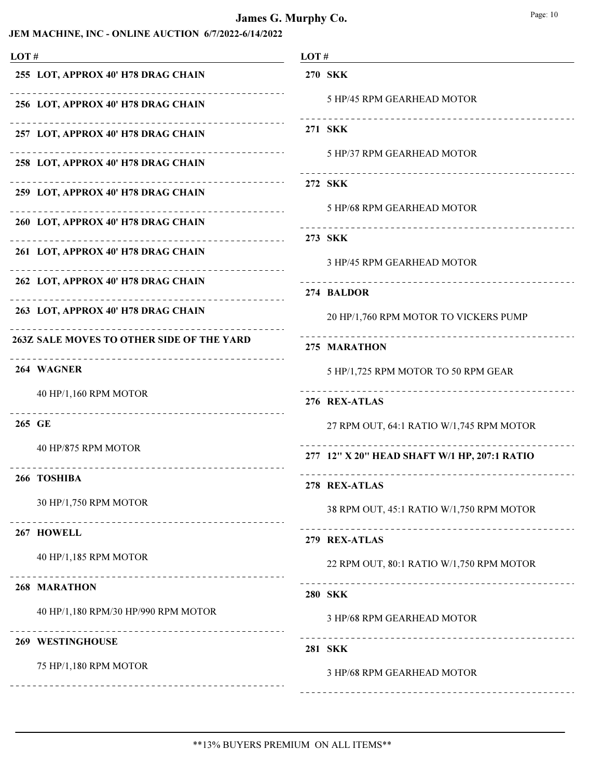#### JEM MACHINE, INC - ONLINE AUCTION 6/7/2022-6/14/2022

| LOT#                                                                | LOT#                                         |
|---------------------------------------------------------------------|----------------------------------------------|
| 255 LOT, APPROX 40' H78 DRAG CHAIN                                  | <b>270 SKK</b>                               |
| - - - - - - - - - - - - - -<br>256 LOT, APPROX 40' H78 DRAG CHAIN   | 5 HP/45 RPM GEARHEAD MOTOR                   |
| - - - - - - - - - - - - - - -<br>257 LOT, APPROX 40' H78 DRAG CHAIN | 271 SKK                                      |
| 258 LOT, APPROX 40' H78 DRAG CHAIN                                  | 5 HP/37 RPM GEARHEAD MOTOR                   |
| 259 LOT, APPROX 40' H78 DRAG CHAIN                                  | 272 SKK                                      |
| 260 LOT, APPROX 40' H78 DRAG CHAIN                                  | 5 HP/68 RPM GEARHEAD MOTOR                   |
|                                                                     | 273 SKK                                      |
| 261 LOT, APPROX 40' H78 DRAG CHAIN<br>.                             | 3 HP/45 RPM GEARHEAD MOTOR                   |
| 262 LOT, APPROX 40' H78 DRAG CHAIN                                  | 274 BALDOR                                   |
| 263 LOT, APPROX 40' H78 DRAG CHAIN                                  | 20 HP/1,760 RPM MOTOR TO VICKERS PUMP        |
| 263Z SALE MOVES TO OTHER SIDE OF THE YARD                           | 275 MARATHON                                 |
| 264 WAGNER                                                          | 5 HP/1,725 RPM MOTOR TO 50 RPM GEAR          |
| 40 HP/1,160 RPM MOTOR                                               | 276 REX-ATLAS                                |
| 265 GE                                                              | 27 RPM OUT, 64:1 RATIO W/1,745 RPM MOTOR     |
| 40 HP/875 RPM MOTOR                                                 | 277 12" X 20" HEAD SHAFT W/1 HP, 207:1 RATIO |
| 266 TOSHIBA                                                         | 278 REX-ATLAS                                |
| 30 HP/1,750 RPM MOTOR                                               | 38 RPM OUT, 45:1 RATIO W/1,750 RPM MOTOR     |
| 267 HOWELL                                                          | 279 REX-ATLAS                                |
| 40 HP/1,185 RPM MOTOR                                               |                                              |
|                                                                     | 22 RPM OUT, 80:1 RATIO W/1,750 RPM MOTOR     |
| <b>268 MARATHON</b>                                                 | <b>280 SKK</b>                               |
| 40 HP/1,180 RPM/30 HP/990 RPM MOTOR                                 | 3 HP/68 RPM GEARHEAD MOTOR                   |
| <b>269 WESTINGHOUSE</b>                                             | <b>281 SKK</b>                               |
| 75 HP/1,180 RPM MOTOR                                               | 3 HP/68 RPM GEARHEAD MOTOR                   |
|                                                                     |                                              |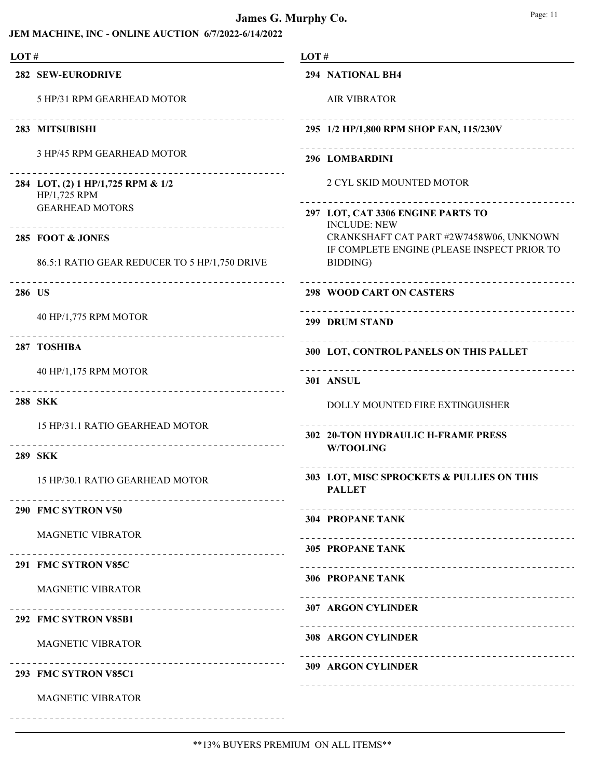| LOT#   |                                                                                            | LOT#                                                                                   |
|--------|--------------------------------------------------------------------------------------------|----------------------------------------------------------------------------------------|
|        | <b>282 SEW-EURODRIVE</b>                                                                   | 294 NATIONAL BH4                                                                       |
|        | 5 HP/31 RPM GEARHEAD MOTOR                                                                 | <b>AIR VIBRATOR</b>                                                                    |
|        | 283 MITSUBISHI                                                                             | 295 1/2 HP/1,800 RPM SHOP FAN, 115/230V                                                |
|        | 3 HP/45 RPM GEARHEAD MOTOR                                                                 | 296 LOMBARDINI                                                                         |
|        | _____________________________________<br>284 LOT, (2) 1 HP/1,725 RPM & 1/2<br>HP/1,725 RPM | 2 CYL SKID MOUNTED MOTOR                                                               |
|        | <b>GEARHEAD MOTORS</b><br>----------------------------------                               | 297 LOT, CAT 3306 ENGINE PARTS TO<br><b>INCLUDE: NEW</b>                               |
|        | 285 FOOT & JONES                                                                           | CRANKSHAFT CAT PART #2W7458W06, UNKNOWN<br>IF COMPLETE ENGINE (PLEASE INSPECT PRIOR TO |
|        | 86.5:1 RATIO GEAR REDUCER TO 5 HP/1,750 DRIVE                                              | BIDDING)                                                                               |
| 286 US |                                                                                            | <b>298 WOOD CART ON CASTERS</b>                                                        |
|        | 40 HP/1,775 RPM MOTOR<br>-------------------------------------                             | 299 DRUM STAND                                                                         |
|        | 287 TOSHIBA                                                                                | 300 LOT, CONTROL PANELS ON THIS PALLET                                                 |
|        | 40 HP/1,175 RPM MOTOR<br>--------------------------                                        | 301 ANSUL                                                                              |
|        | <b>288 SKK</b>                                                                             | DOLLY MOUNTED FIRE EXTINGUISHER                                                        |
|        | 15 HP/31.1 RATIO GEARHEAD MOTOR                                                            | 302 20-TON HYDRAULIC H-FRAME PRESS                                                     |
|        | <b>289 SKK</b>                                                                             | <b>W/TOOLING</b>                                                                       |
|        | 15 HP/30.1 RATIO GEARHEAD MOTOR                                                            | 303 LOT, MISC SPROCKETS & PULLIES ON THIS<br><b>PALLET</b>                             |
|        | 290 FMC SYTRON V50                                                                         | <b>304 PROPANE TANK</b>                                                                |
|        | <b>MAGNETIC VIBRATOR</b><br>_________________________________                              | <b>305 PROPANE TANK</b>                                                                |
|        | 291 FMC SYTRON V85C                                                                        | <b>306 PROPANE TANK</b>                                                                |
|        | <b>MAGNETIC VIBRATOR</b>                                                                   | _______________________________                                                        |
|        | 292 FMC SYTRON V85B1                                                                       | <b>307 ARGON CYLINDER</b>                                                              |
|        | <b>MAGNETIC VIBRATOR</b>                                                                   | <b>308 ARGON CYLINDER</b>                                                              |
|        | ----------------------------------<br>293 FMC SYTRON V85C1                                 | <b>309 ARGON CYLINDER</b>                                                              |
|        | MAGNETIC VIBRATOR                                                                          |                                                                                        |
|        | ---------------------------------                                                          |                                                                                        |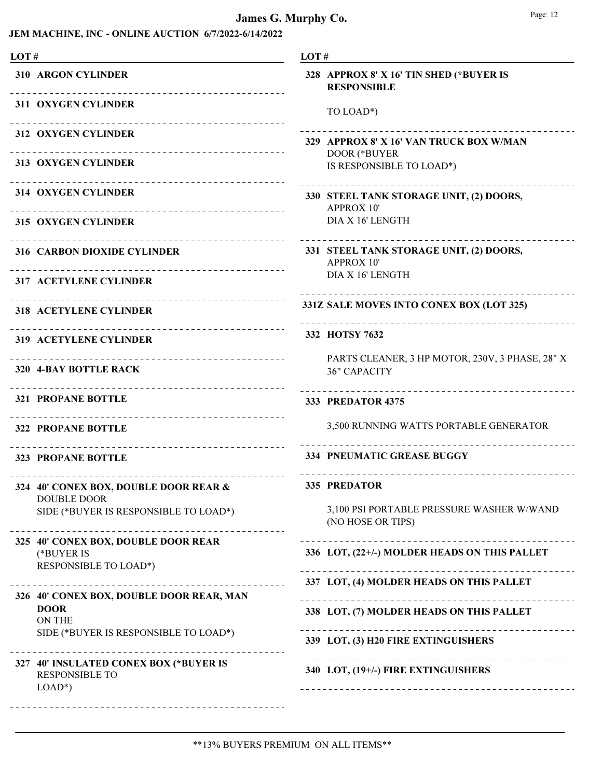| LOT#                                                                              | LOT#                                                                   |
|-----------------------------------------------------------------------------------|------------------------------------------------------------------------|
| <b>310 ARGON CYLINDER</b>                                                         | 328 APPROX 8' X 16' TIN SHED (*BUYER IS<br><b>RESPONSIBLE</b>          |
| <b>311 OXYGEN CYLINDER</b>                                                        | TO LOAD*)                                                              |
| 312 OXYGEN CYLINDER                                                               | 329 APPROX 8' X 16' VAN TRUCK BOX W/MAN                                |
| <b>313 OXYGEN CYLINDER</b>                                                        | DOOR (*BUYER<br>IS RESPONSIBLE TO LOAD*)                               |
| <b>314 OXYGEN CYLINDER</b>                                                        | 330 STEEL TANK STORAGE UNIT, (2) DOORS,<br><b>APPROX 10'</b>           |
| <b>315 OXYGEN CYLINDER</b>                                                        | DIA X 16' LENGTH                                                       |
| 316 CARBON DIOXIDE CYLINDER                                                       | 331 STEEL TANK STORAGE UNIT, (2) DOORS,<br><b>APPROX 10'</b>           |
| <b>317 ACETYLENE CYLINDER</b>                                                     | DIA X 16' LENGTH                                                       |
| <b>318 ACETYLENE CYLINDER</b>                                                     | 331Z SALE MOVES INTO CONEX BOX (LOT 325)<br>-------------------------  |
| <b>319 ACETYLENE CYLINDER</b>                                                     | 332 HOTSY 7632                                                         |
| 320 4-BAY BOTTLE RACK                                                             | PARTS CLEANER, 3 HP MOTOR, 230V, 3 PHASE, 28" X<br><b>36" CAPACITY</b> |
| <b>321 PROPANE BOTTLE</b>                                                         | <b>333 PREDATOR 4375</b>                                               |
| 322 PROPANE BOTTLE                                                                | 3,500 RUNNING WATTS PORTABLE GENERATOR                                 |
| 323 PROPANE BOTTLE                                                                | <b>334 PNEUMATIC GREASE BUGGY</b>                                      |
| 324 40' CONEX BOX, DOUBLE DOOR REAR &<br><b>DOUBLE DOOR</b>                       | 335 PREDATOR                                                           |
| SIDE (*BUYER IS RESPONSIBLE TO LOAD*)                                             | 3,100 PSI PORTABLE PRESSURE WASHER W/WAND<br>(NO HOSE OR TIPS)         |
| 325 40' CONEX BOX, DOUBLE DOOR REAR<br>(*BUYER IS<br><b>RESPONSIBLE TO LOAD*)</b> | 336 LOT, (22+/-) MOLDER HEADS ON THIS PALLET                           |
|                                                                                   | 337 LOT, (4) MOLDER HEADS ON THIS PALLET                               |
| 326 40' CONEX BOX, DOUBLE DOOR REAR, MAN<br><b>DOOR</b><br><b>ON THE</b>          | 338 LOT, (7) MOLDER HEADS ON THIS PALLET                               |
| SIDE (*BUYER IS RESPONSIBLE TO LOAD*)                                             | 339 LOT, (3) H20 FIRE EXTINGUISHERS                                    |
| 327 40' INSULATED CONEX BOX (*BUYER IS<br><b>RESPONSIBLE TO</b><br>$LOAD^*$       | 340 LOT, (19+/-) FIRE EXTINGUISHERS                                    |
| -------------------------------------                                             |                                                                        |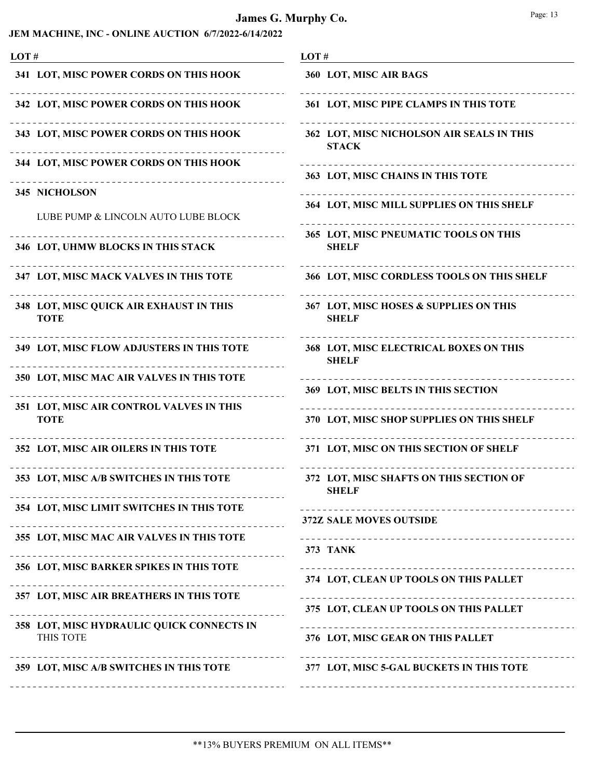| LOT# |                                                         | LOT#                                                      |
|------|---------------------------------------------------------|-----------------------------------------------------------|
|      | 341 LOT, MISC POWER CORDS ON THIS HOOK                  | 360 LOT, MISC AIR BAGS                                    |
|      | 342 LOT, MISC POWER CORDS ON THIS HOOK                  | 361 LOT, MISC PIPE CLAMPS IN THIS TOTE                    |
|      | 343 LOT, MISC POWER CORDS ON THIS HOOK                  | 362 LOT, MISC NICHOLSON AIR SEALS IN THIS<br><b>STACK</b> |
|      | 344 LOT, MISC POWER CORDS ON THIS HOOK                  | 363 LOT, MISC CHAINS IN THIS TOTE                         |
|      | 345 NICHOLSON<br>LUBE PUMP & LINCOLN AUTO LUBE BLOCK    | 364 LOT, MISC MILL SUPPLIES ON THIS SHELF                 |
|      | 346 LOT, UHMW BLOCKS IN THIS STACK                      | 365 LOT, MISC PNEUMATIC TOOLS ON THIS<br><b>SHELF</b>     |
|      | 347 LOT, MISC MACK VALVES IN THIS TOTE                  | 366 LOT, MISC CORDLESS TOOLS ON THIS SHELF                |
|      | 348 LOT, MISC QUICK AIR EXHAUST IN THIS<br><b>TOTE</b>  | 367 LOT, MISC HOSES & SUPPLIES ON THIS<br><b>SHELF</b>    |
|      | 349 LOT, MISC FLOW ADJUSTERS IN THIS TOTE               | 368 LOT, MISC ELECTRICAL BOXES ON THIS<br><b>SHELF</b>    |
|      | 350 LOT, MISC MAC AIR VALVES IN THIS TOTE               | 369 LOT, MISC BELTS IN THIS SECTION                       |
|      | 351 LOT, MISC AIR CONTROL VALVES IN THIS<br><b>TOTE</b> | 370 LOT, MISC SHOP SUPPLIES ON THIS SHELF                 |
|      | 352 LOT, MISC AIR OILERS IN THIS TOTE                   | 371 LOT, MISC ON THIS SECTION OF SHELF                    |
|      | 353 LOT, MISC A/B SWITCHES IN THIS TOTE                 | 372 LOT, MISC SHAFTS ON THIS SECTION OF<br><b>SHELF</b>   |
|      | 354 LOT, MISC LIMIT SWITCHES IN THIS TOTE               | 372Z SALE MOVES OUTSIDE                                   |
|      | 355 LOT, MISC MAC AIR VALVES IN THIS TOTE               | <b>373 TANK</b>                                           |
|      | 356 LOT, MISC BARKER SPIKES IN THIS TOTE                | 374 LOT, CLEAN UP TOOLS ON THIS PALLET                    |
|      | 357 LOT, MISC AIR BREATHERS IN THIS TOTE                | 375 LOT, CLEAN UP TOOLS ON THIS PALLET                    |
|      | 358 LOT, MISC HYDRAULIC QUICK CONNECTS IN<br>THIS TOTE  | 376 LOT, MISC GEAR ON THIS PALLET                         |
|      | 359 LOT, MISC A/B SWITCHES IN THIS TOTE                 | 377 LOT, MISC 5-GAL BUCKETS IN THIS TOTE                  |
|      | --------------------------------                        |                                                           |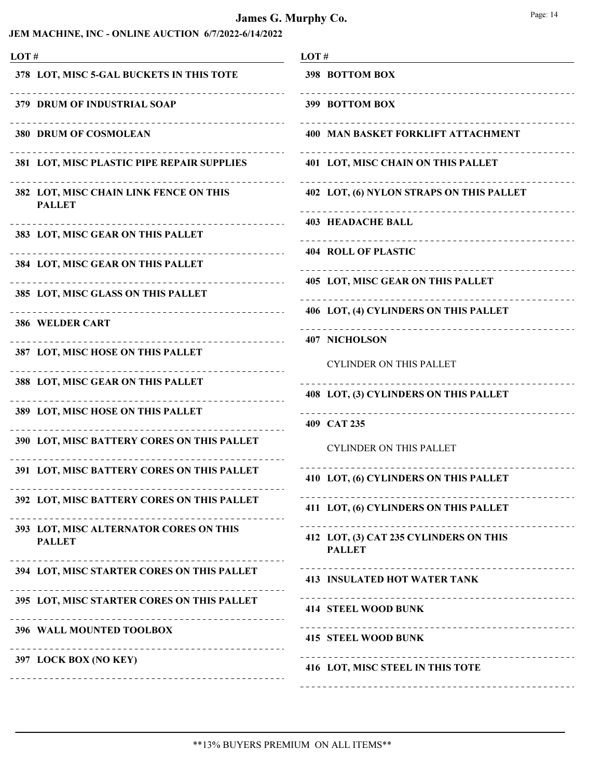| LOT# |                                                                          | LOT#                                                                  |
|------|--------------------------------------------------------------------------|-----------------------------------------------------------------------|
|      | 378 LOT, MISC 5-GAL BUCKETS IN THIS TOTE                                 | 398 BOTTOM BOX                                                        |
|      | 379 DRUM OF INDUSTRIAL SOAP                                              | _________________________<br>399 BOTTOM BOX                           |
|      | <b>380 DRUM OF COSMOLEAN</b>                                             | <b>400 MAN BASKET FORKLIFT ATTACHMENT</b>                             |
|      | 381 LOT, MISC PLASTIC PIPE REPAIR SUPPLIES                               | 401 LOT, MISC CHAIN ON THIS PALLET                                    |
|      | 382 LOT, MISC CHAIN LINK FENCE ON THIS<br><b>PALLET</b>                  | 402 LOT, (6) NYLON STRAPS ON THIS PALLET                              |
|      | _______________<br>383 LOT, MISC GEAR ON THIS PALLET                     | <b>403 HEADACHE BALL</b>                                              |
|      | _____________________________<br>384 LOT, MISC GEAR ON THIS PALLET       | <b>404 ROLL OF PLASTIC</b>                                            |
|      | . <u>.</u> .                                                             | 405 LOT, MISC GEAR ON THIS PALLET                                     |
|      | 385 LOT, MISC GLASS ON THIS PALLET<br>---------------------------------- | 406 LOT, (4) CYLINDERS ON THIS PALLET                                 |
|      | <b>386 WELDER CART</b><br>.                                              | <b>407 NICHOLSON</b>                                                  |
|      | 387 LOT, MISC HOSE ON THIS PALLET                                        | <b>CYLINDER ON THIS PALLET</b>                                        |
|      | 388 LOT, MISC GEAR ON THIS PALLET                                        |                                                                       |
|      | 389 LOT, MISC HOSE ON THIS PALLET                                        | 408 LOT, (3) CYLINDERS ON THIS PALLET<br>---------------------------- |
|      |                                                                          | 409 CAT 235                                                           |
|      | 390 LOT, MISC BATTERY CORES ON THIS PALLET                               | <b>CYLINDER ON THIS PALLET</b>                                        |
|      | 391 LOT, MISC BATTERY CORES ON THIS PALLET                               | 410 LOT, (6) CYLINDERS ON THIS PALLET                                 |
|      | 392 LOT, MISC BATTERY CORES ON THIS PALLET                               | 411 LOT, (6) CYLINDERS ON THIS PALLET                                 |
|      | 393 LOT, MISC ALTERNATOR CORES ON THIS<br><b>PALLET</b>                  | 412 LOT, (3) CAT 235 CYLINDERS ON THIS<br><b>PALLET</b>               |
|      | 394 LOT, MISC STARTER CORES ON THIS PALLET                               | <b>413 INSULATED HOT WATER TANK</b>                                   |
|      | 395 LOT, MISC STARTER CORES ON THIS PALLET                               | <b>414 STEEL WOOD BUNK</b>                                            |
|      | 396 WALL MOUNTED TOOLBOX                                                 | . <u>_ _ _ _ _ _ _ _ _ _ _ _ _</u> _<br><b>415 STEEL WOOD BUNK</b>    |
|      | 397 LOCK BOX (NO KEY)                                                    | 416 LOT, MISC STEEL IN THIS TOTE                                      |
|      |                                                                          |                                                                       |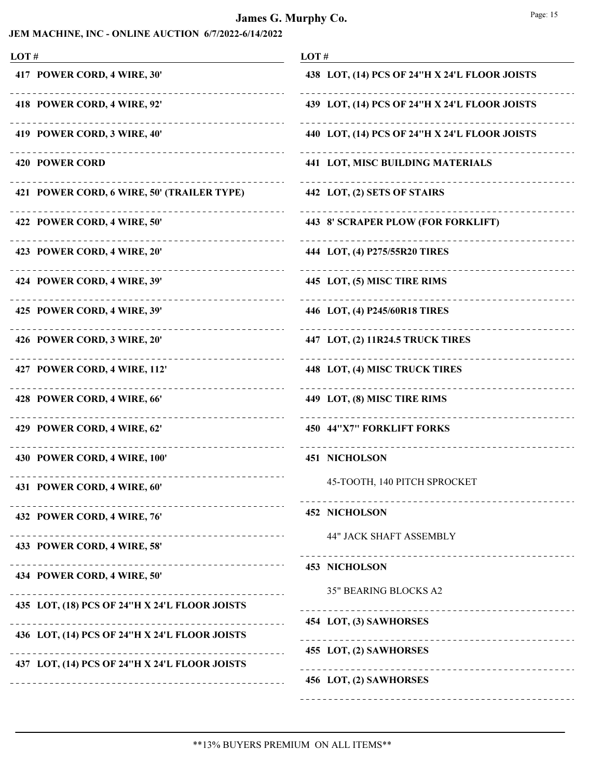### James G. Murphy Co.

|--|--|

| LOT#                                                     | LOT#                                                  |
|----------------------------------------------------------|-------------------------------------------------------|
| 417 POWER CORD, 4 WIRE, 30'                              | 438 LOT, (14) PCS OF 24"H X 24'L FLOOR JOISTS         |
| 418 POWER CORD, 4 WIRE, 92'                              | 439 LOT, (14) PCS OF 24"H X 24'L FLOOR JOISTS         |
| 419 POWER CORD, 3 WIRE, 40'                              | 440 LOT, (14) PCS OF 24"H X 24'L FLOOR JOISTS         |
| -------------------------------<br><b>420 POWER CORD</b> | <b>441 LOT, MISC BUILDING MATERIALS</b>               |
| 421 POWER CORD, 6 WIRE, 50' (TRAILER TYPE)               | 442 LOT, (2) SETS OF STAIRS                           |
| 422 POWER CORD, 4 WIRE, 50'                              | 443 8' SCRAPER PLOW (FOR FORKLIFT)                    |
| 423 POWER CORD, 4 WIRE, 20'                              | 444 LOT, (4) P275/55R20 TIRES                         |
| _____________________<br>424 POWER CORD, 4 WIRE, 39'     | .<br>445 LOT, (5) MISC TIRE RIMS                      |
| 425 POWER CORD, 4 WIRE, 39'                              | 446 LOT, (4) P245/60R18 TIRES                         |
| 426 POWER CORD, 3 WIRE, 20'                              | 447 LOT, (2) 11R24.5 TRUCK TIRES                      |
| 427 POWER CORD, 4 WIRE, 112'                             | 448 LOT, (4) MISC TRUCK TIRES                         |
| ____________________<br>428 POWER CORD, 4 WIRE, 66'      | .<br>449 LOT, (8) MISC TIRE RIMS                      |
| 429 POWER CORD, 4 WIRE, 62'                              | 450 44"X7" FORKLIFT FORKS                             |
| 430 POWER CORD, 4 WIRE, 100'                             | <b>451 NICHOLSON</b>                                  |
| 431 POWER CORD, 4 WIRE, 60                               | 45-TOOTH, 140 PITCH SPROCKET                          |
| 432 POWER CORD, 4 WIRE, 76'                              | _____________________________<br><b>452 NICHOLSON</b> |
| ---------------------<br>433 POWER CORD, 4 WIRE, 58'     | <b>44" JACK SHAFT ASSEMBLY</b>                        |
| 434 POWER CORD, 4 WIRE, 50'                              | <b>453 NICHOLSON</b>                                  |
| 435 LOT, (18) PCS OF 24"H X 24'L FLOOR JOISTS            | 35" BEARING BLOCKS A2                                 |
| 436 LOT, (14) PCS OF 24"H X 24'L FLOOR JOISTS            | 454 LOT, (3) SAWHORSES                                |
|                                                          | 455 LOT, (2) SAWHORSES                                |
| 437 LOT, (14) PCS OF 24"H X 24'L FLOOR JOISTS            | 456 LOT, (2) SAWHORSES                                |
|                                                          |                                                       |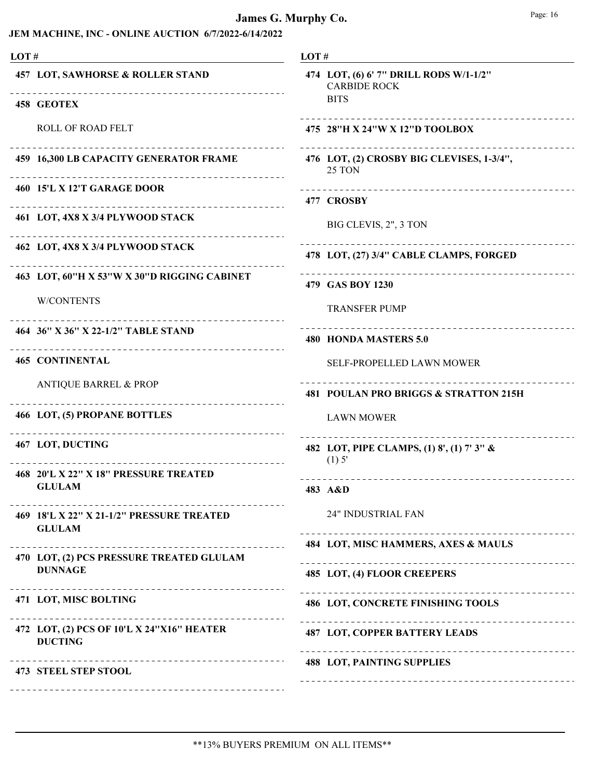| LOT# |                                                                          | LOT# |                                   |
|------|--------------------------------------------------------------------------|------|-----------------------------------|
|      | <b>457 LOT, SAWHORSE &amp; ROLLER STAND</b>                              |      | 474 LOT,<br>CARE<br><b>BITS</b>   |
|      | 458 GEOTEX                                                               |      | ---------                         |
|      | <b>ROLL OF ROAD FELT</b>                                                 |      | 475 28"H                          |
|      | 459 16,300 LB CAPACITY GENERATOR FRAME                                   |      | ---------<br>476 LOT,<br>25 TC    |
|      | 460 15'L X 12'T GARAGE DOOR                                              |      | ---------<br><b>477 CROS</b>      |
|      | 461 LOT, 4X8 X 3/4 PLYWOOD STACK                                         |      | BIG C                             |
|      | 462 LOT, 4X8 X 3/4 PLYWOOD STACK                                         |      | 478 LOT,                          |
|      | 463 LOT, 60"H X 53"W X 30"D RIGGING CABINET                              |      | 479 GAS                           |
|      | <b>W/CONTENTS</b>                                                        |      | <b>TRAN</b>                       |
|      | 464 36" X 36" X 22-1/2" TABLE STAND<br>--------------------------------- |      | .<br><b>480 HON</b>               |
|      | <b>465 CONTINENTAL</b>                                                   |      | <b>SELF</b>                       |
|      | <b>ANTIQUE BARREL &amp; PROP</b>                                         |      | .<br><b>481 POUI</b>              |
|      | 466 LOT, (5) PROPANE BOTTLES                                             |      | <b>LAW</b>                        |
|      | 467 LOT, DUCTING<br>------------------------------------                 |      | _________<br>482 LOT,<br>$(1)$ 5' |
|      | 468 20'L X 22" X 18" PRESSURE TREATED                                    |      | ---------                         |
|      | - GLULAM -                                                               |      | 483 A&D                           |
|      | 469 18'L X 22" X 21-1/2" PRESSURE TREATED<br><b>GLULAM</b>               |      | $24"$ If                          |
|      | ______________________                                                   |      | 484 LOT,                          |
|      | 470 LOT, (2) PCS PRESSURE TREATED GLULAM<br><b>DUNNAGE</b>               |      | ---------<br>485 LOT,             |
|      | 471 LOT, MISC BOLTING                                                    | .    | 486 LOT,                          |
|      | .<br>472 LOT, (2) PCS OF 10'L X 24"X16" HEATER<br><b>DUCTING</b>         |      | ---------<br>487 LOT,             |
|      | <b>473 STEEL STEP STOOL</b>                                              |      | 488 LOT,                          |
|      |                                                                          |      |                                   |

| 474 LOT, (6) 6' 7" DRILL RODS W/1-1/2"<br><b>CARBIDE ROCK</b><br><b>BITS</b> |
|------------------------------------------------------------------------------|
| 475 28"H X 24"W X 12"D TOOLBOX                                               |
| 476 LOT, (2) CROSBY BIG CLEVISES, 1-3/4",<br>25 TON                          |
| 477 CROSBY                                                                   |
| BIG CLEVIS, 2", 3 TON                                                        |
| 478 LOT, (27) 3/4" CABLE CLAMPS, FORGED                                      |
| 479 GAS BOY 1230                                                             |
| <b>TRANSFER PUMP</b>                                                         |
| <b>480 HONDA MASTERS 5.0</b>                                                 |
| <b>SELF-PROPELLED LAWN MOWER</b>                                             |
|                                                                              |
| 481 POULAN PRO BRIGGS & STRATTON 215H                                        |
| <b>LAWN MOWER</b>                                                            |
| 482 LOT, PIPE CLAMPS, (1) 8', (1) 7' 3" &<br>(1) 5'                          |
| 483 A&D                                                                      |
| 24" INDUSTRIAL FAN                                                           |
| 484 LOT, MISC HAMMERS, AXES & MAULS                                          |
| 485 LOT, (4) FLOOR CREEPERS                                                  |
| <b>486 LOT, CONCRETE FINISHING TOOLS</b>                                     |
| .<br><b>487 LOT, COPPER BATTERY LEADS</b><br>--------------------            |